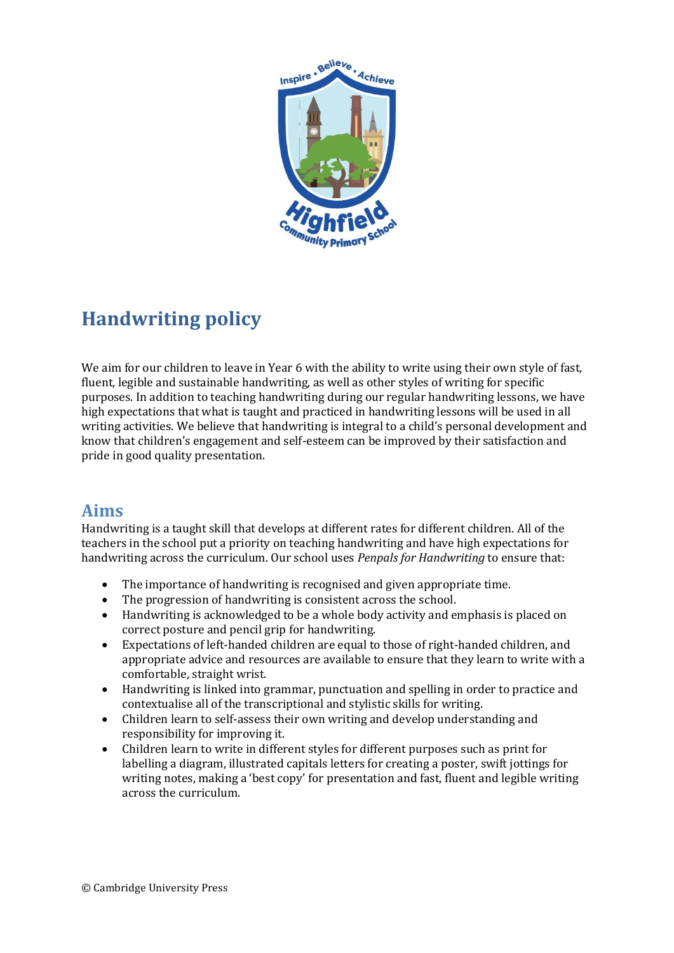

# **Handwriting policy**

We aim for our children to leave in Year 6 with the ability to write using their own style of fast, fluent, legible and sustainable handwriting, as well as other styles of writing for specific purposes. In addition to teaching handwriting during our regular handwriting lessons, we have high expectations that what is taught and practiced in handwriting lessons will be used in all writing activities. We believe that handwriting is integral to a child's personal development and know that children's engagement and self-esteem can be improved by their satisfaction and pride in good quality presentation.

## **Aims**

Handwriting is a taught skill that develops at different rates for different children. All of the teachers in the school put a priority on teaching handwriting and have high expectations for handwriting across the curriculum. Our school uses *Penpals for Handwriting* to ensure that:

- The importance of handwriting is recognised and given appropriate time.
- The progression of handwriting is consistent across the school.
- Handwriting is acknowledged to be a whole body activity and emphasis is placed on correct posture and pencil grip for handwriting.
- Expectations of left-handed children are equal to those of right-handed children, and appropriate advice and resources are available to ensure that they learn to write with a comfortable, straight wrist.
- Handwriting is linked into grammar, punctuation and spelling in order to practice and contextualise all of the transcriptional and stylistic skills for writing.
- Children learn to self-assess their own writing and develop understanding and responsibility for improving it.
- Children learn to write in different styles for different purposes such as print for labelling a diagram, illustrated capitals letters for creating a poster, swift jottings for writing notes, making a 'best copy' for presentation and fast, fluent and legible writing across the curriculum.